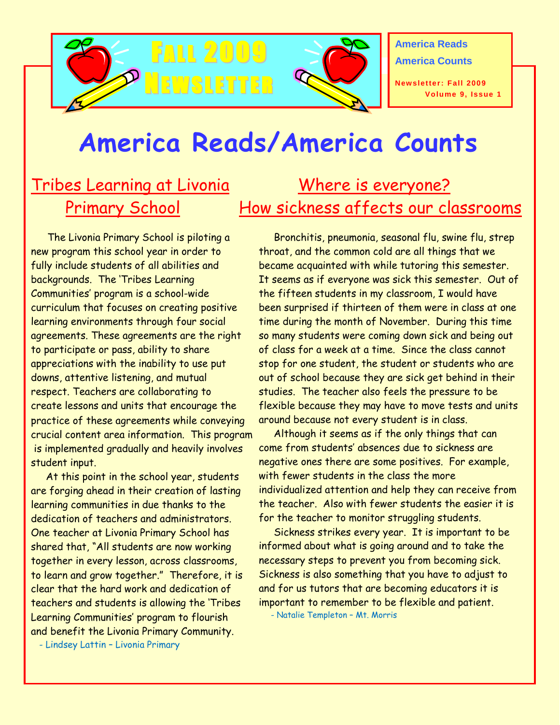

**America Reads America Counts**

**Newsletter: Fall 2009 Volume 9, Issue 1**

# **America Reads/America Counts**

# Tribes Learning at Livonia Primary School

 The Livonia Primary School is piloting a new program this school year in order to fully include students of all abilities and backgrounds. The "Tribes Learning Communities" program is a school-wide curriculum that focuses on creating positive learning environments through four social agreements. These agreements are the right to participate or pass, ability to share appreciations with the inability to use put downs, attentive listening, and mutual respect. Teachers are collaborating to create lessons and units that encourage the practice of these agreements while conveying crucial content area information. This program is implemented gradually and heavily involves student input.

 At this point in the school year, students are forging ahead in their creation of lasting learning communities in due thanks to the dedication of teachers and administrators. One teacher at Livonia Primary School has shared that, "All students are now working together in every lesson, across classrooms, to learn and grow together." Therefore, it is clear that the hard work and dedication of teachers and students is allowing the "Tribes Learning Communities" program to flourish and benefit the Livonia Primary Community.

- Lindsey Lattin – Livonia Primary

## Where is everyone? How sickness affects our classrooms

 Bronchitis, pneumonia, seasonal flu, swine flu, strep throat, and the common cold are all things that we became acquainted with while tutoring this semester. It seems as if everyone was sick this semester. Out of the fifteen students in my classroom, I would have been surprised if thirteen of them were in class at one time during the month of November. During this time so many students were coming down sick and being out of class for a week at a time. Since the class cannot stop for one student, the student or students who are out of school because they are sick get behind in their studies. The teacher also feels the pressure to be flexible because they may have to move tests and units around because not every student is in class.

 Although it seems as if the only things that can come from students" absences due to sickness are negative ones there are some positives. For example, with fewer students in the class the more individualized attention and help they can receive from the teacher. Also with fewer students the easier it is for the teacher to monitor struggling students.

 Sickness strikes every year. It is important to be informed about what is going around and to take the necessary steps to prevent you from becoming sick. Sickness is also something that you have to adjust to and for us tutors that are becoming educators it is important to remember to be flexible and patient.

- Natalie Templeton – Mt. Morris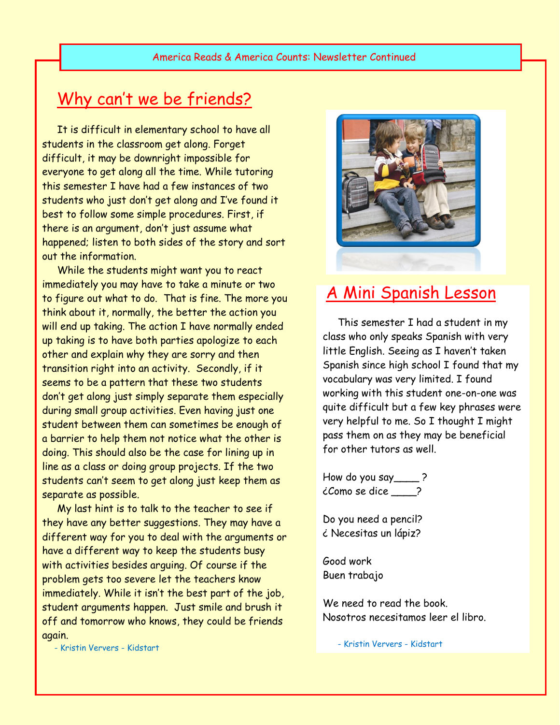#### Why can't we be friends?

 It is difficult in elementary school to have all students in the classroom get along. Forget difficult, it may be downright impossible for everyone to get along all the time. While tutoring this semester I have had a few instances of two students who just don"t get along and I"ve found it best to follow some simple procedures. First, if there is an argument, don"t just assume what happened; listen to both sides of the story and sort out the information.

 While the students might want you to react immediately you may have to take a minute or two to figure out what to do. That is fine. The more you think about it, normally, the better the action you will end up taking. The action I have normally ended up taking is to have both parties apologize to each other and explain why they are sorry and then transition right into an activity. Secondly, if it seems to be a pattern that these two students don"t get along just simply separate them especially during small group activities. Even having just one student between them can sometimes be enough of a barrier to help them not notice what the other is doing. This should also be the case for lining up in line as a class or doing group projects. If the two students can't seem to get along just keep them as separate as possible.

 My last hint is to talk to the teacher to see if they have any better suggestions. They may have a different way for you to deal with the arguments or have a different way to keep the students busy with activities besides arguing. Of course if the problem gets too severe let the teachers know immediately. While it isn"t the best part of the job, student arguments happen. Just smile and brush it off and tomorrow who knows, they could be friends again.



#### A Mini Spanish Lesson

 This semester I had a student in my class who only speaks Spanish with very little English. Seeing as I haven"t taken Spanish since high school I found that my vocabulary was very limited. I found working with this student one-on-one was quite difficult but a few key phrases were very helpful to me. So I thought I might pass them on as they may be beneficial for other tutors as well.

How do you say\_\_\_\_ ? ¿Como se dice \_\_\_\_?

Do you need a pencil? ¿ Necesitas un lápiz?

Good work Buen trabajo

We need to read the book. Nosotros necesitamos leer el libro.

- Kristin Ververs - Kidstart

- Kristin Ververs - Kidstart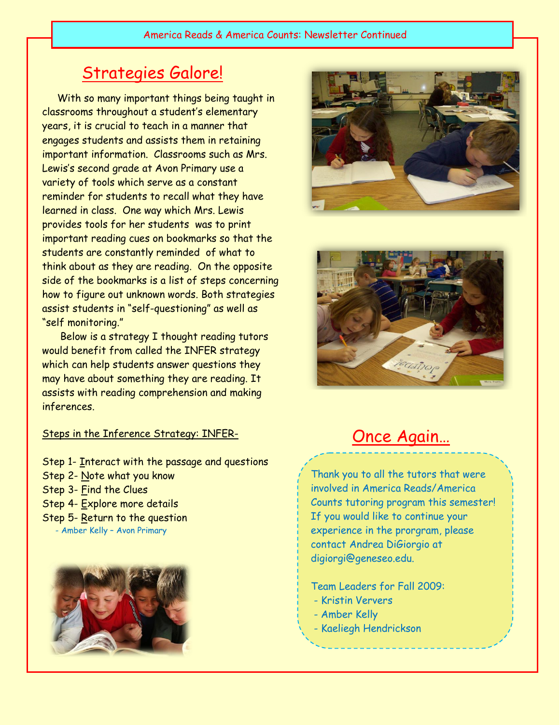#### America Reads & America Counts: Newsletter Continued

#### Strategies Galore!

 With so many important things being taught in classrooms throughout a student"s elementary years, it is crucial to teach in a manner that engages students and assists them in retaining important information. Classrooms such as Mrs. Lewis's second grade at Avon Primary use a variety of tools which serve as a constant reminder for students to recall what they have learned in class. One way which Mrs. Lewis provides tools for her students was to print important reading cues on bookmarks so that the students are constantly reminded of what to think about as they are reading. On the opposite side of the bookmarks is a list of steps concerning how to figure out unknown words. Both strategies assist students in "self-questioning" as well as "self monitoring."

 Below is a strategy I thought reading tutors would benefit from called the INFER strategy which can help students answer questions they may have about something they are reading. It assists with reading comprehension and making inferences.

#### Steps in the Inference Strategy: INFER-

Step 1- Interact with the passage and questions Step 2- Note what you know Step 3- Find the Clues Step 4- Explore more details Step 5- Return to the question - Amber Kelly – Avon Primary







#### Once Again…

Thank you to all the tutors that were involved in America Reads/America Counts tutoring program this semester! If you would like to continue your experience in the prorgram, please contact Andrea DiGiorgio at digiorgi@geneseo.edu.

Team Leaders for Fall 2009:

- Kristin Ververs
- Amber Kelly
- Kaeliegh Hendrickson